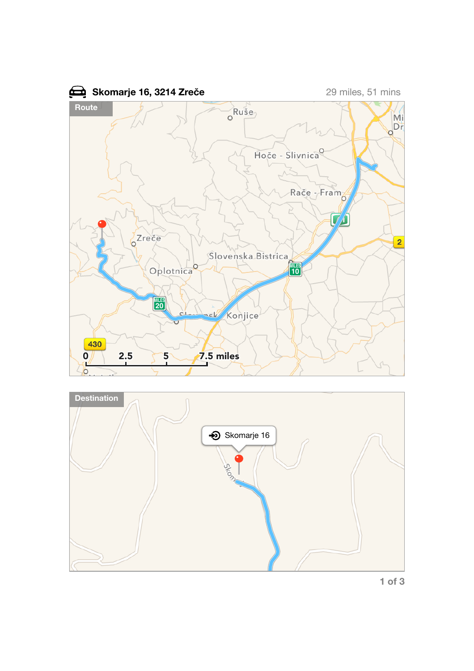



**1 of 3**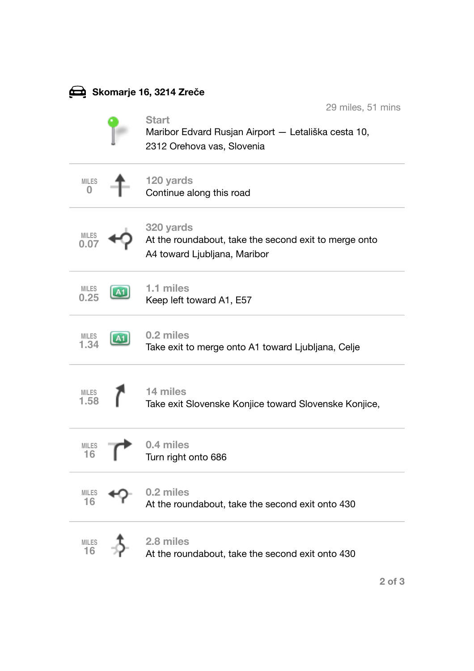| Skomarje 16, 3214 Zreče فِضْعَ |  |                                                                                                                        |
|--------------------------------|--|------------------------------------------------------------------------------------------------------------------------|
|                                |  | 29 miles, 51 mins<br><b>Start</b><br>Maribor Edvard Rusjan Airport — Letališka cesta 10,<br>2312 Orehova vas, Slovenia |
| <b>MILES</b>                   |  | 120 yards<br>Continue along this road                                                                                  |
| <b>MILES</b><br>0.07           |  | 320 yards<br>At the roundabout, take the second exit to merge onto<br>A4 toward Ljubljana, Maribor                     |
| <b>MILES</b><br>0.25           |  | 1.1 miles<br>Keep left toward A1, E57                                                                                  |
| <b>MILES</b><br>1.34           |  | 0.2 miles<br>Take exit to merge onto A1 toward Ljubljana, Celje                                                        |
| <b>MILES</b><br>1.58           |  | 14 miles<br>Take exit Slovenske Konjice toward Slovenske Konjice,                                                      |
| <b>MILES</b><br>16             |  | 0.4 miles<br>Turn right onto 686                                                                                       |
| <b>MILES</b><br>16             |  | 0.2 miles<br>At the roundabout, take the second exit onto 430                                                          |
| <b>MILES</b><br>16             |  | 2.8 miles<br>At the roundabout, take the second exit onto 430                                                          |